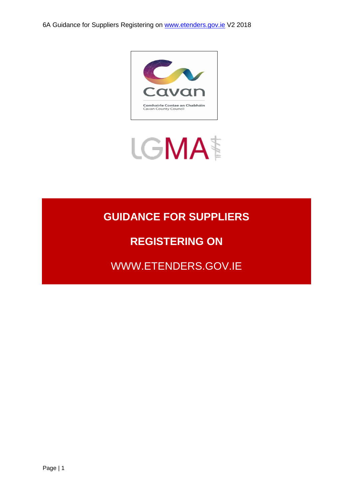

# LGMA<sup>t</sup>

# **GUIDANCE FOR SUPPLIERS**

## **REGISTERING ON**

WWW.ETENDERS.GOV.IE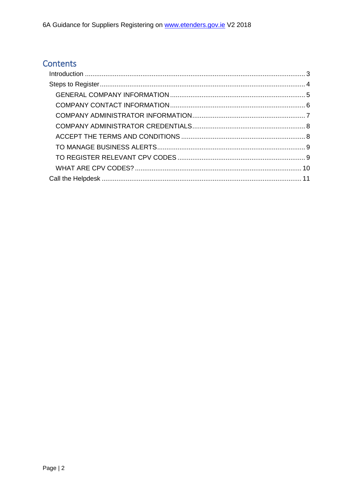### Contents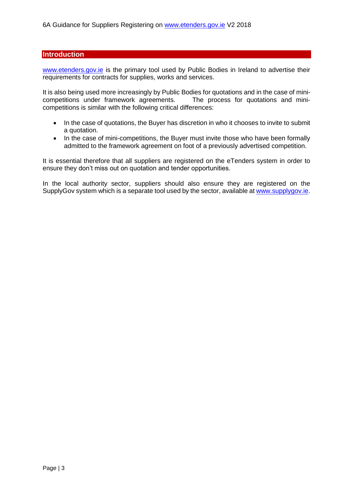#### <span id="page-2-0"></span>**Introduction**

[www.etenders.gov.ie](http://www.etenders.gov.ie/) is the primary tool used by Public Bodies in Ireland to advertise their requirements for contracts for supplies, works and services.

It is also being used more increasingly by Public Bodies for quotations and in the case of minicompetitions under framework agreements. The process for quotations and minicompetitions is similar with the following critical differences:

- In the case of quotations, the Buyer has discretion in who it chooses to invite to submit a quotation.
- In the case of mini-competitions, the Buyer must invite those who have been formally admitted to the framework agreement on foot of a previously advertised competition.

It is essential therefore that all suppliers are registered on the eTenders system in order to ensure they don't miss out on quotation and tender opportunities.

In the local authority sector, suppliers should also ensure they are registered on the SupplyGov system which is a separate tool used by the sector, available at [www.supplygov.ie.](http://www.supplygov.ie/)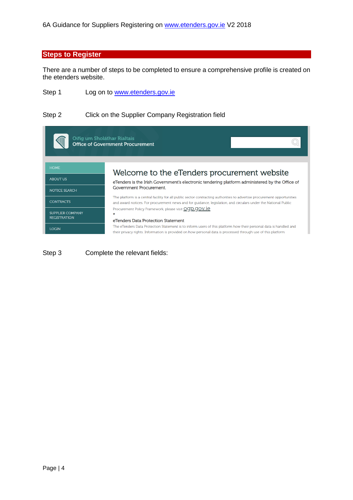#### <span id="page-3-0"></span>**Steps to Register**

There are a number of steps to be completed to ensure a comprehensive profile is created on the etenders website.

Step 1 Log on to [www.etenders.gov.ie](http://www.etenders.gov.ie/)

#### Step 2 Click on the Supplier Company Registration field

| Oifig um Sholáthar Rialtais                    | <b>Office of Government Procurement</b>                                                                                                                                                                                                   |
|------------------------------------------------|-------------------------------------------------------------------------------------------------------------------------------------------------------------------------------------------------------------------------------------------|
| <b>HOME</b>                                    | Welcome to the eTenders procurement website                                                                                                                                                                                               |
| <b>ABOUT US</b>                                | eTenders is the Irish Government's electronic tendering platform administered by the Office of                                                                                                                                            |
| <b>NOTICE SEARCH</b>                           | Government Procurement.                                                                                                                                                                                                                   |
| <b>CONTRACTS</b>                               | The platform is a central facility for all public sector contracting authorities to advertise procurement opportunities<br>and award notices. For procurement news and for quidance, legislation, and circulars under the National Public |
| <b>SUPPLIER COMPANY</b><br><b>REGISTRATION</b> | Procurement Policy Framework, please visit OCOD.COV.1e                                                                                                                                                                                    |
|                                                | eTenders Data Protection Statement<br>The eTenders Data Protection Statement is to inform users of this platform how their personal data is handled and                                                                                   |
| <b>LOGIN</b>                                   | their privacy rights. Information is provided on how personal data is processed through use of this platform                                                                                                                              |

Step 3 Complete the relevant fields: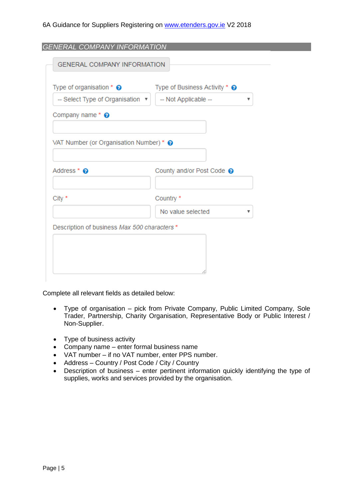<span id="page-4-0"></span>

| -- Select Type of Organisation v             |                           |
|----------------------------------------------|---------------------------|
|                                              | -- Not Applicable --<br>▼ |
| Company name $*$ $\odot$                     |                           |
|                                              |                           |
| VAT Number (or Organisation Number) * @      |                           |
|                                              |                           |
| Address * @                                  | County and/or Post Code @ |
|                                              |                           |
| City *                                       | Country *                 |
|                                              | No value selected<br>v    |
|                                              |                           |
| Description of business Max 500 characters * |                           |

Complete all relevant fields as detailed below:

- Type of organisation pick from Private Company, Public Limited Company, Sole Trader, Partnership, Charity Organisation, Representative Body or Public Interest / Non-Supplier.
- Type of business activity
- Company name enter formal business name
- VAT number if no VAT number, enter PPS number.
- Address Country / Post Code / City / Country
- Description of business enter pertinent information quickly identifying the type of supplies, works and services provided by the organisation.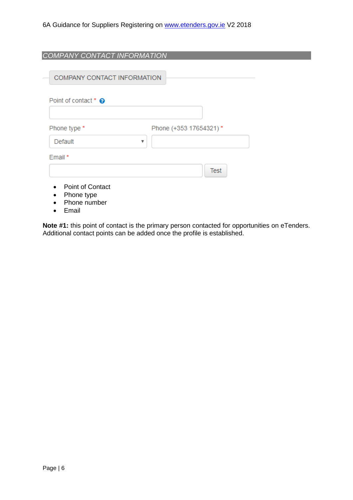<span id="page-5-0"></span>

| COMPANY CONTACT INFORMATION                           |                        |
|-------------------------------------------------------|------------------------|
| <b>COMPANY CONTACT INFORMATION</b>                    |                        |
| Point of contact * @                                  |                        |
| Phone type *                                          | Phone (+353 17654321)* |
| Default                                               | v                      |
| Email *                                               |                        |
|                                                       | <b>Test</b>            |
| <b>Point of Contact</b><br>Phone type<br>Phone number |                        |

• Email

**Note #1:** this point of contact is the primary person contacted for opportunities on eTenders. Additional contact points can be added once the profile is established.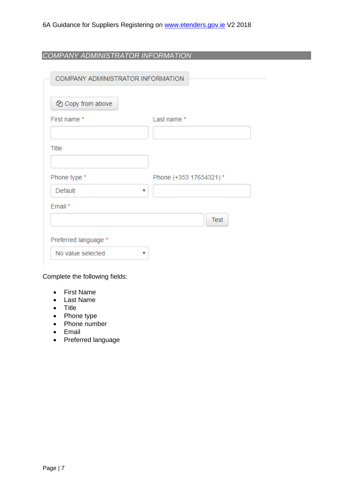<span id="page-6-0"></span>*COMPANY ADMINISTRATOR INFORMATION*

| COMPANY ADMINISTRATOR INFORMATION |                        |
|-----------------------------------|------------------------|
| ed Copy from above                |                        |
| First name *                      | Last name *            |
|                                   |                        |
| Title                             |                        |
|                                   |                        |
| Phone type *                      | Phone (+353 17654321)* |
| Default                           | v                      |
| Email*                            |                        |
|                                   | <b>Test</b>            |
| Preferred language *              |                        |
| No value selected                 | v                      |

Complete the following fields:

- First Name
- Last Name
- Title
- Phone type
- Phone number
- Email
- Preferred language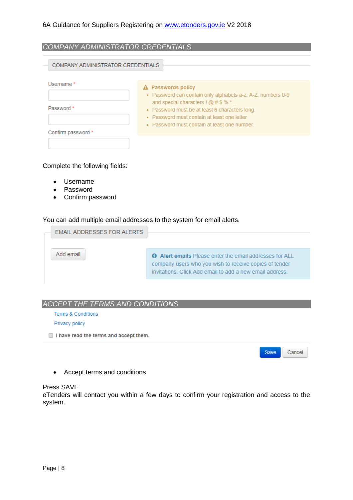<span id="page-7-0"></span>

| COMPANY ADMINISTRATOR CREDENTIALS |                                                                                                                                                                                                                                                                                                                                                               |
|-----------------------------------|---------------------------------------------------------------------------------------------------------------------------------------------------------------------------------------------------------------------------------------------------------------------------------------------------------------------------------------------------------------|
| COMPANY ADMINISTRATOR CREDENTIALS |                                                                                                                                                                                                                                                                                                                                                               |
| Username *<br>Password *          | A Passwords policy<br>• Password can contain only alphabets a-z, A-Z, numbers 0-9<br>and special characters $\frac{1}{2}$ $\frac{1}{2}$ $\frac{1}{2}$ $\frac{1}{2}$ $\frac{1}{2}$ $\frac{1}{2}$ $\frac{1}{2}$<br>• Password must be at least 6 characters long.<br>• Password must contain at least one letter<br>• Password must contain at least one number |
| Confirm password *                |                                                                                                                                                                                                                                                                                                                                                               |

#### Complete the following fields:

- Username
- Password
- Confirm password

You can add multiple email addresses to the system for email alerts.

| <b>EMAIL ADDRESSES FOR ALERTS</b> |                                                                                                                                                                                      |
|-----------------------------------|--------------------------------------------------------------------------------------------------------------------------------------------------------------------------------------|
| Add email                         | <b>O</b> Alert emails Please enter the email addresses for ALL<br>company users who you wish to receive copies of tender<br>invitations. Click Add email to add a new email address. |

#### <span id="page-7-1"></span>*ACCEPT THE TERMS AND CONDITIONS*

Terms & Conditions

Privacy policy

I have read the terms and accept them.

Save Cancel

• Accept terms and conditions

#### Press SAVE

eTenders will contact you within a few days to confirm your registration and access to the system.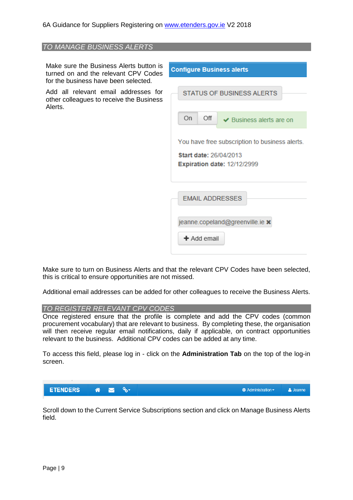## <span id="page-8-0"></span>*TO MANAGE BUSINESS ALERTS* Make sure the Business Alerts button is **Configure Business alerts** turned on and the relevant CPV Codes for the business have been selected. Add all relevant email addresses for **STATUS OF BUSINESS ALERTS** other colleagues to receive the Business Alerts. On Off ← Business alerts are on You have free subscription to business alerts. Start date: 26/04/2013 **Expiration date: 12/12/2999 EMAIL ADDRESSES** jeanne.copeland@greenville.ie x  $+$  Add email

Make sure to turn on Business Alerts and that the relevant CPV Codes have been selected, this is critical to ensure opportunities are not missed.

Additional email addresses can be added for other colleagues to receive the Business Alerts.

#### <span id="page-8-1"></span>*TO REGISTER RELEVANT CPV CODES*

Once registered ensure that the profile is complete and add the CPV codes (common procurement vocabulary) that are relevant to business. By completing these, the organisation will then receive regular email notifications, daily if applicable, on contract opportunities relevant to the business. Additional CPV codes can be added at any time.

To access this field, please log in - click on the **Administration Tab** on the top of the log-in screen.



Scroll down to the Current Service Subscriptions section and click on Manage Business Alerts field.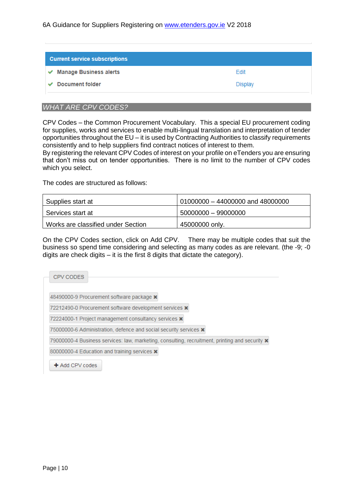| Edit    |
|---------|
| Display |
|         |

#### <span id="page-9-0"></span>*WHAT ARE CPV CODES?*

CPV Codes – the Common Procurement Vocabulary. This a special EU procurement coding for supplies, works and services to enable multi-lingual translation and interpretation of tender opportunities throughout the EU – it is used by Contracting Authorities to classify requirements consistently and to help suppliers find contract notices of interest to them.

By registering the relevant CPV Codes of interest on your profile on eTenders you are ensuring that don't miss out on tender opportunities. There is no limit to the number of CPV codes which you select.

The codes are structured as follows:

| Supplies start at                  | $\mid$ 01000000 – 44000000 and 48000000 |
|------------------------------------|-----------------------------------------|
| Services start at                  | $50000000 - 99000000$                   |
| Works are classified under Section | 45000000 only.                          |

On the CPV Codes section, click on Add CPV. There may be multiple codes that suit the business so spend time considering and selecting as many codes as are relevant. (the -9; -0 digits are check digits – it is the first 8 digits that dictate the category).

| CPV CODES           |                                                                                                       |  |
|---------------------|-------------------------------------------------------------------------------------------------------|--|
|                     | 48490000-9 Procurement software package x                                                             |  |
|                     | 72212490-0 Procurement software development services *                                                |  |
|                     | 72224000-1 Project management consultancy services <b>x</b>                                           |  |
|                     | 75000000-6 Administration, defence and social security services <b>x</b>                              |  |
|                     | 79000000-4 Business services: law, marketing, consulting, recruitment, printing and security <b>x</b> |  |
|                     | 80000000-4 Education and training services <b>x</b>                                                   |  |
| $\pm$ Add CPV codes |                                                                                                       |  |